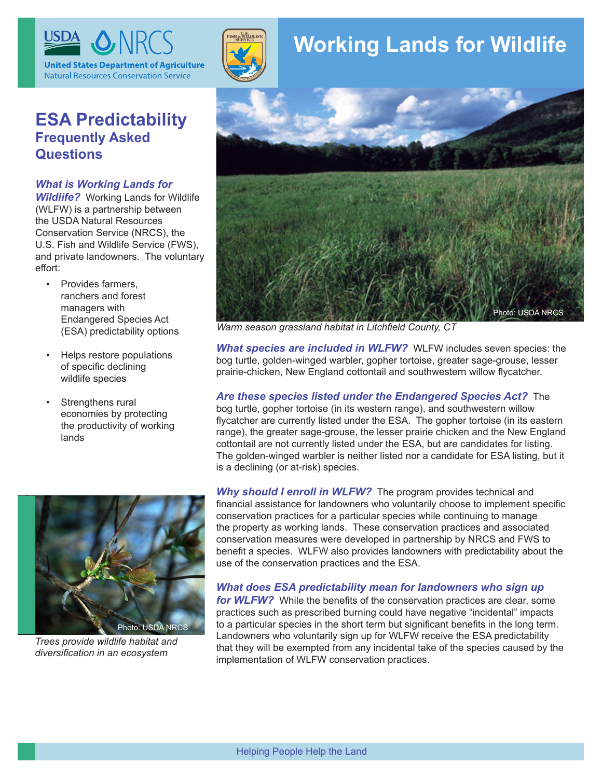

## **ESA Predictability Frequently Asked Questions**

#### *What is Working Lands for*

*Wildlife?* Working Lands for Wildlife (WLFW) is a partnership between the USDA Natural Resources Conservation Service (NRCS), the U.S. Fish and Wildlife Service (FWS), and private landowners. The voluntary effort:

- • Provides farmers, ranchers and forest managers with Endangered Species Act (ESA) predictability options
- Helps restore populations of specific declining wildlife species
- Strengthens rural economies by protecting the productivity of working lands



*Trees provide wildlife habitat and diversification in an ecosystem*



# **Working Lands for Wildlife**



*Warm season grassland habitat in Litchfield County, CT*

*What species are included in WLFW?* WLFW includes seven species: the bog turtle, golden-winged warbler, gopher tortoise, greater sage-grouse, lesser prairie-chicken, New England cottontail and southwestern willow flycatcher.

## *Are these species listed under the Endangered Species Act?* The

bog turtle, gopher tortoise (in its western range), and southwestern willow flycatcher are currently listed under the ESA. The gopher tortoise (in its eastern range), the greater sage-grouse, the lesser prairie chicken and the New England cottontail are not currently listed under the ESA, but are candidates for listing. The golden-winged warbler is neither listed nor a candidate for ESA listing, but it is a declining (or at-risk) species.

*Why should I enroll in WLFW?* The program provides technical and financial assistance for landowners who voluntarily choose to implement specific conservation practices for a particular species while continuing to manage the property as working lands. These conservation practices and associated conservation measures were developed in partnership by NRCS and FWS to benefit a species. WLFW also provides landowners with predictability about the use of the conservation practices and the ESA.

## *What does ESA predictability mean for landowners who sign up*

*for WLFW?* While the benefits of the conservation practices are clear, some practices such as prescribed burning could have negative "incidental" impacts to a particular species in the short term but significant benefits in the long term. Landowners who voluntarily sign up for WLFW receive the ESA predictability that they will be exempted from any incidental take of the species caused by the implementation of WLFW conservation practices.